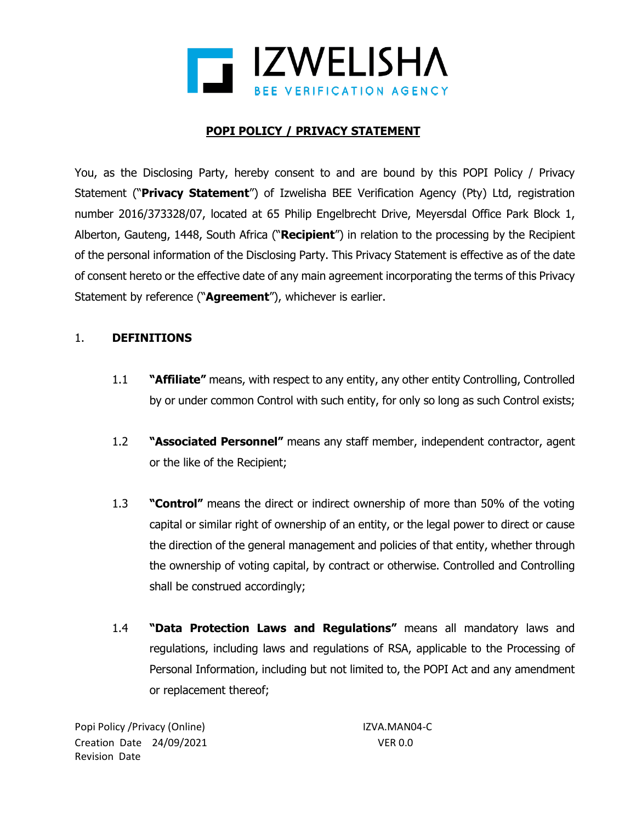

# **POPI POLICY / PRIVACY STATEMENT**

You, as the Disclosing Party, hereby consent to and are bound by this POPI Policy / Privacy Statement ("**Privacy Statement**") of Izwelisha BEE Verification Agency (Pty) Ltd, registration number 2016/373328/07, located at 65 Philip Engelbrecht Drive, Meyersdal Office Park Block 1, Alberton, Gauteng, 1448, South Africa ("**Recipient**") in relation to the processing by the Recipient of the personal information of the Disclosing Party. This Privacy Statement is effective as of the date of consent hereto or the effective date of any main agreement incorporating the terms of this Privacy Statement by reference ("**Agreement**"), whichever is earlier.

#### 1. **DEFINITIONS**

- 1.1 **"Affiliate"** means, with respect to any entity, any other entity Controlling, Controlled by or under common Control with such entity, for only so long as such Control exists;
- 1.2 **"Associated Personnel"** means any staff member, independent contractor, agent or the like of the Recipient;
- 1.3 **"Control"** means the direct or indirect ownership of more than 50% of the voting capital or similar right of ownership of an entity, or the legal power to direct or cause the direction of the general management and policies of that entity, whether through the ownership of voting capital, by contract or otherwise. Controlled and Controlling shall be construed accordingly;
- 1.4 **"Data Protection Laws and Regulations"** means all mandatory laws and regulations, including laws and regulations of RSA, applicable to the Processing of Personal Information, including but not limited to, the POPI Act and any amendment or replacement thereof;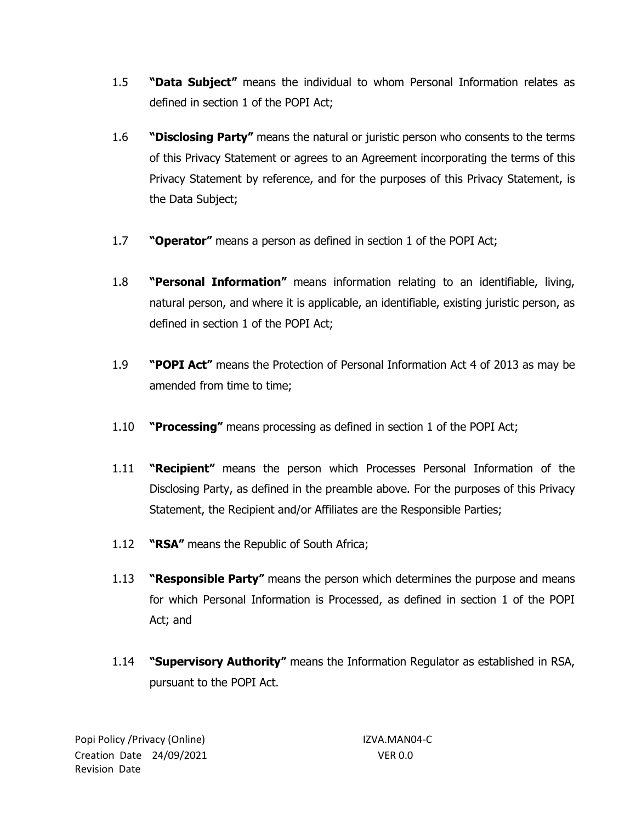- 1.5 **"Data Subject"** means the individual to whom Personal Information relates as defined in section 1 of the POPI Act;
- 1.6 **"Disclosing Party"** means the natural or juristic person who consents to the terms of this Privacy Statement or agrees to an Agreement incorporating the terms of this Privacy Statement by reference, and for the purposes of this Privacy Statement, is the Data Subject;
- 1.7 **"Operator"** means a person as defined in section 1 of the POPI Act;
- 1.8 **"Personal Information"** means information relating to an identifiable, living, natural person, and where it is applicable, an identifiable, existing juristic person, as defined in section 1 of the POPI Act;
- 1.9 **"POPI Act"** means the Protection of Personal Information Act 4 of 2013 as may be amended from time to time;
- 1.10 **"Processing"** means processing as defined in section 1 of the POPI Act;
- 1.11 **"Recipient"** means the person which Processes Personal Information of the Disclosing Party, as defined in the preamble above. For the purposes of this Privacy Statement, the Recipient and/or Affiliates are the Responsible Parties;
- 1.12 **"RSA"** means the Republic of South Africa;
- 1.13 **"Responsible Party"** means the person which determines the purpose and means for which Personal Information is Processed, as defined in section 1 of the POPI Act; and
- 1.14 **"Supervisory Authority"** means the Information Regulator as established in RSA, pursuant to the POPI Act.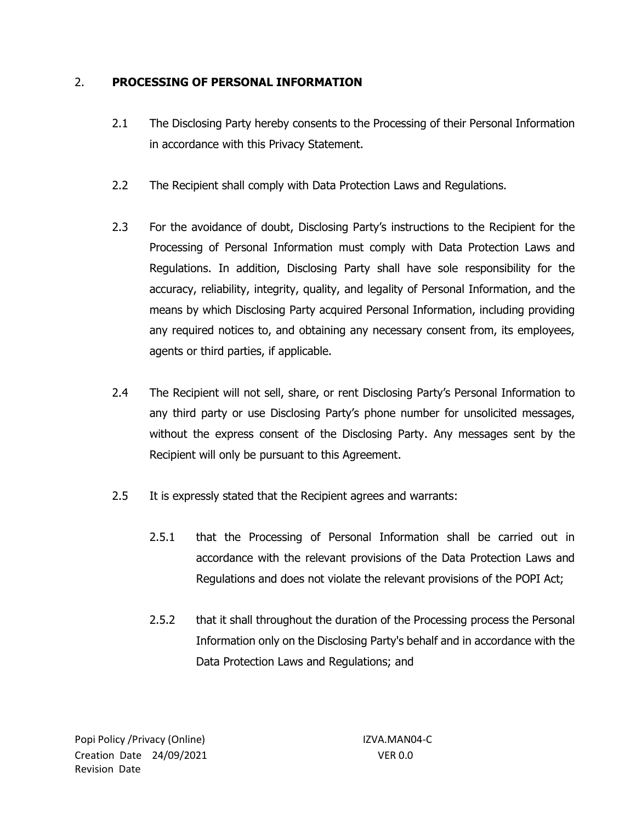## 2. **PROCESSING OF PERSONAL INFORMATION**

- 2.1 The Disclosing Party hereby consents to the Processing of their Personal Information in accordance with this Privacy Statement.
- 2.2 The Recipient shall comply with Data Protection Laws and Regulations.
- 2.3 For the avoidance of doubt, Disclosing Party's instructions to the Recipient for the Processing of Personal Information must comply with Data Protection Laws and Regulations. In addition, Disclosing Party shall have sole responsibility for the accuracy, reliability, integrity, quality, and legality of Personal Information, and the means by which Disclosing Party acquired Personal Information, including providing any required notices to, and obtaining any necessary consent from, its employees, agents or third parties, if applicable.
- 2.4 The Recipient will not sell, share, or rent Disclosing Party's Personal Information to any third party or use Disclosing Party's phone number for unsolicited messages, without the express consent of the Disclosing Party. Any messages sent by the Recipient will only be pursuant to this Agreement.
- 2.5 It is expressly stated that the Recipient agrees and warrants:
	- 2.5.1 that the Processing of Personal Information shall be carried out in accordance with the relevant provisions of the Data Protection Laws and Regulations and does not violate the relevant provisions of the POPI Act;
	- 2.5.2 that it shall throughout the duration of the Processing process the Personal Information only on the Disclosing Party's behalf and in accordance with the Data Protection Laws and Regulations; and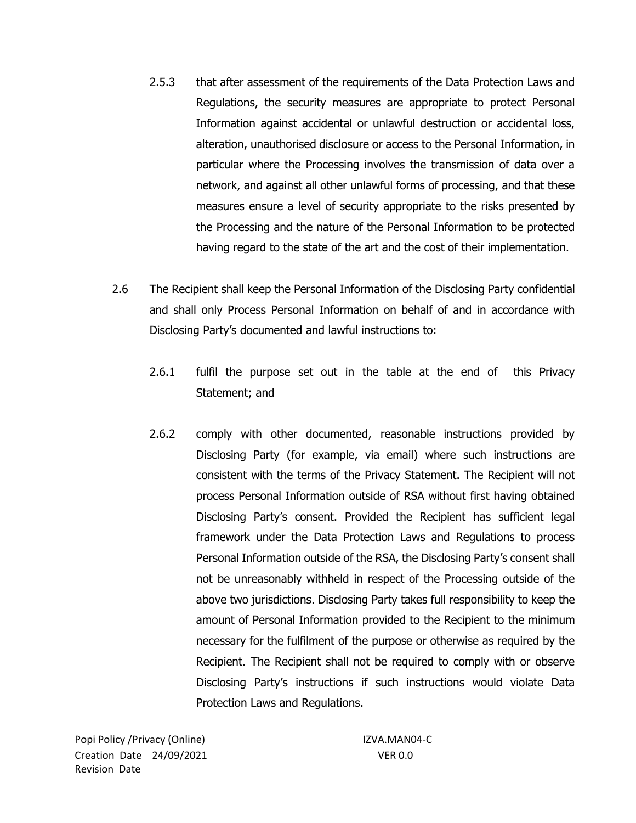- 2.5.3 that after assessment of the requirements of the Data Protection Laws and Regulations, the security measures are appropriate to protect Personal Information against accidental or unlawful destruction or accidental loss, alteration, unauthorised disclosure or access to the Personal Information, in particular where the Processing involves the transmission of data over a network, and against all other unlawful forms of processing, and that these measures ensure a level of security appropriate to the risks presented by the Processing and the nature of the Personal Information to be protected having regard to the state of the art and the cost of their implementation.
- 2.6 The Recipient shall keep the Personal Information of the Disclosing Party confidential and shall only Process Personal Information on behalf of and in accordance with Disclosing Party's documented and lawful instructions to:
	- 2.6.1 fulfil the purpose set out in the table at the end of this Privacy Statement; and
	- 2.6.2 comply with other documented, reasonable instructions provided by Disclosing Party (for example, via email) where such instructions are consistent with the terms of the Privacy Statement. The Recipient will not process Personal Information outside of RSA without first having obtained Disclosing Party's consent. Provided the Recipient has sufficient legal framework under the Data Protection Laws and Regulations to process Personal Information outside of the RSA, the Disclosing Party's consent shall not be unreasonably withheld in respect of the Processing outside of the above two jurisdictions. Disclosing Party takes full responsibility to keep the amount of Personal Information provided to the Recipient to the minimum necessary for the fulfilment of the purpose or otherwise as required by the Recipient. The Recipient shall not be required to comply with or observe Disclosing Party's instructions if such instructions would violate Data Protection Laws and Regulations.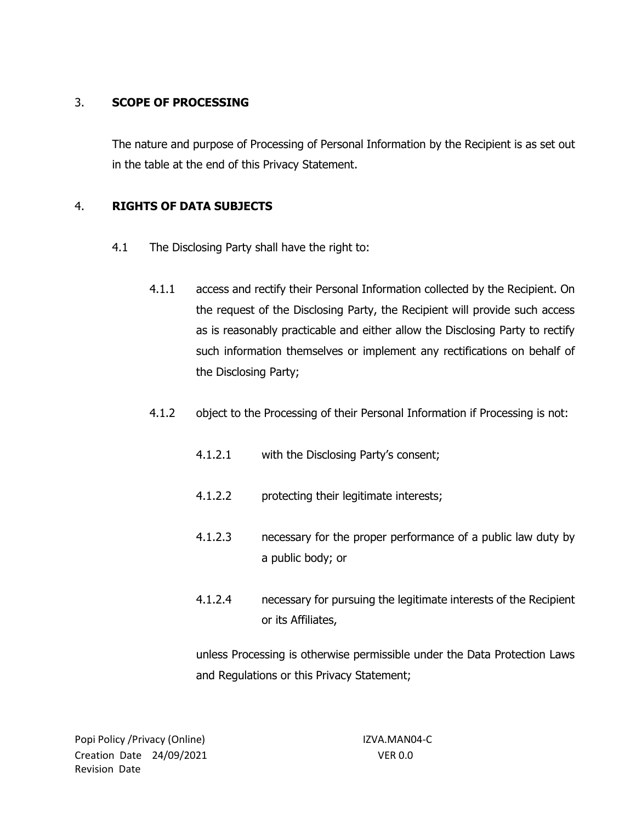# 3. **SCOPE OF PROCESSING**

The nature and purpose of Processing of Personal Information by the Recipient is as set out in the table at the end of this Privacy Statement.

## 4. **RIGHTS OF DATA SUBJECTS**

- 4.1 The Disclosing Party shall have the right to:
	- 4.1.1 access and rectify their Personal Information collected by the Recipient. On the request of the Disclosing Party, the Recipient will provide such access as is reasonably practicable and either allow the Disclosing Party to rectify such information themselves or implement any rectifications on behalf of the Disclosing Party;
	- 4.1.2 object to the Processing of their Personal Information if Processing is not:
		- 4.1.2.1 with the Disclosing Party's consent;
		- 4.1.2.2 protecting their legitimate interests;
		- 4.1.2.3 necessary for the proper performance of a public law duty by a public body; or
		- 4.1.2.4 necessary for pursuing the legitimate interests of the Recipient or its Affiliates,

unless Processing is otherwise permissible under the Data Protection Laws and Regulations or this Privacy Statement;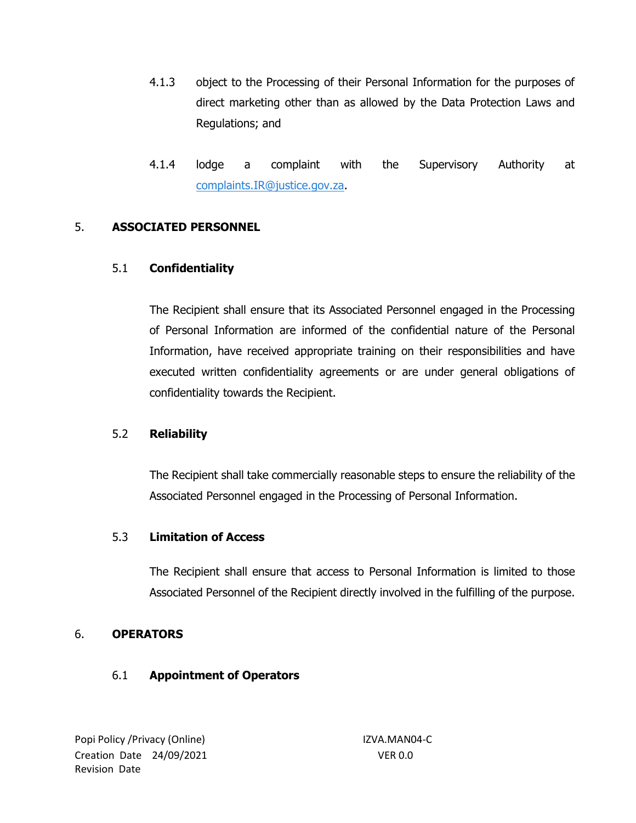- 4.1.3 object to the Processing of their Personal Information for the purposes of direct marketing other than as allowed by the Data Protection Laws and Regulations; and
- 4.1.4 lodge a complaint with the Supervisory Authority at [complaints.IR@justice.gov.za.](mailto:complaints.IR@justice.gov.za)

### 5. **ASSOCIATED PERSONNEL**

### 5.1 **Confidentiality**

The Recipient shall ensure that its Associated Personnel engaged in the Processing of Personal Information are informed of the confidential nature of the Personal Information, have received appropriate training on their responsibilities and have executed written confidentiality agreements or are under general obligations of confidentiality towards the Recipient.

### 5.2 **Reliability**

The Recipient shall take commercially reasonable steps to ensure the reliability of the Associated Personnel engaged in the Processing of Personal Information.

#### 5.3 **Limitation of Access**

The Recipient shall ensure that access to Personal Information is limited to those Associated Personnel of the Recipient directly involved in the fulfilling of the purpose.

### 6. **OPERATORS**

### 6.1 **Appointment of Operators**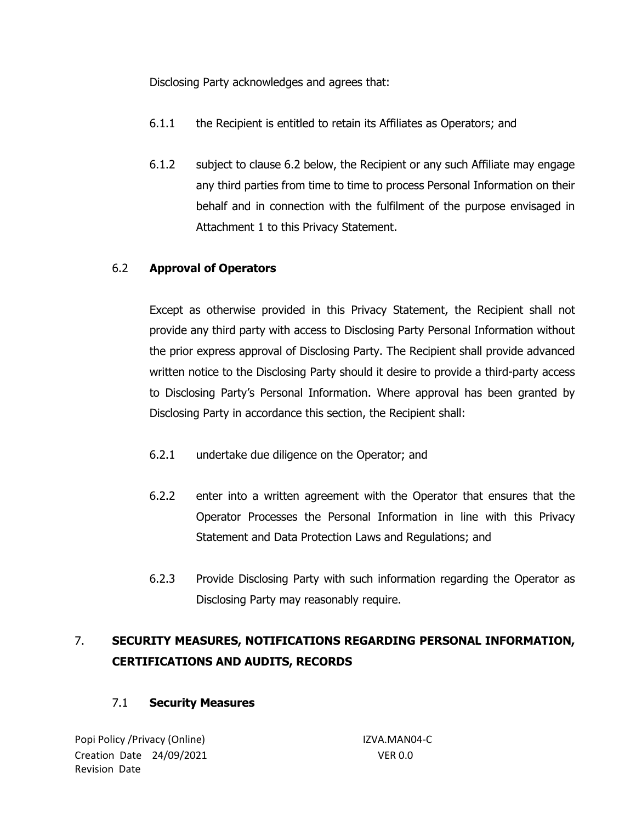Disclosing Party acknowledges and agrees that:

- 6.1.1 the Recipient is entitled to retain its Affiliates as Operators; and
- 6.1.2 subject to clause [6.2](#page-6-0) below, the Recipient or any such Affiliate may engage any third parties from time to time to process Personal Information on their behalf and in connection with the fulfilment of the purpose envisaged in Attachment 1 to this Privacy Statement.

## <span id="page-6-0"></span>6.2 **Approval of Operators**

Except as otherwise provided in this Privacy Statement, the Recipient shall not provide any third party with access to Disclosing Party Personal Information without the prior express approval of Disclosing Party. The Recipient shall provide advanced written notice to the Disclosing Party should it desire to provide a third-party access to Disclosing Party's Personal Information. Where approval has been granted by Disclosing Party in accordance this section, the Recipient shall:

- 6.2.1 undertake due diligence on the Operator; and
- 6.2.2 enter into a written agreement with the Operator that ensures that the Operator Processes the Personal Information in line with this Privacy Statement and Data Protection Laws and Regulations; and
- 6.2.3 Provide Disclosing Party with such information regarding the Operator as Disclosing Party may reasonably require.

# 7. **SECURITY MEASURES, NOTIFICATIONS REGARDING PERSONAL INFORMATION, CERTIFICATIONS AND AUDITS, RECORDS**

# 7.1 **Security Measures**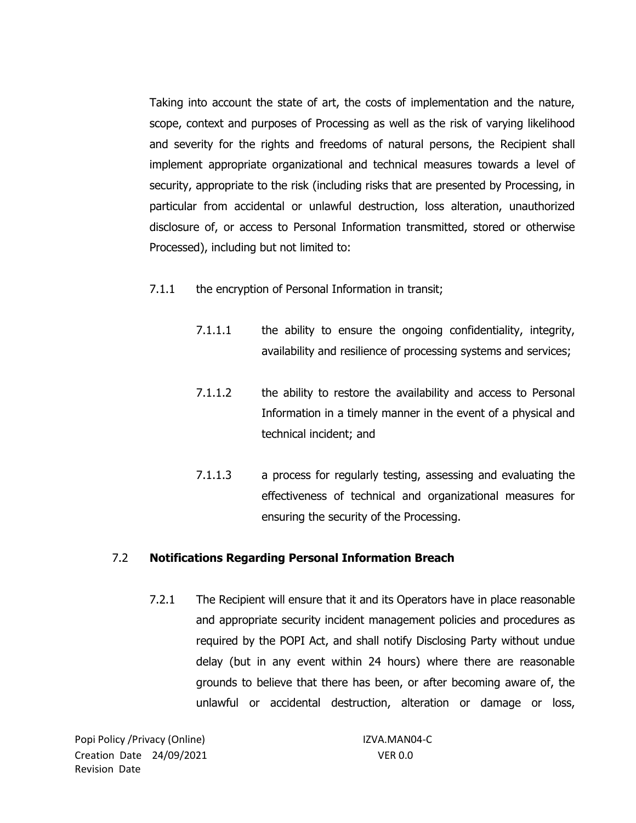Taking into account the state of art, the costs of implementation and the nature, scope, context and purposes of Processing as well as the risk of varying likelihood and severity for the rights and freedoms of natural persons, the Recipient shall implement appropriate organizational and technical measures towards a level of security, appropriate to the risk (including risks that are presented by Processing, in particular from accidental or unlawful destruction, loss alteration, unauthorized disclosure of, or access to Personal Information transmitted, stored or otherwise Processed), including but not limited to:

- 7.1.1 the encryption of Personal Information in transit;
	- 7.1.1.1 the ability to ensure the ongoing confidentiality, integrity, availability and resilience of processing systems and services;
	- 7.1.1.2 the ability to restore the availability and access to Personal Information in a timely manner in the event of a physical and technical incident; and
	- 7.1.1.3 a process for regularly testing, assessing and evaluating the effectiveness of technical and organizational measures for ensuring the security of the Processing.

#### 7.2 **Notifications Regarding Personal Information Breach**

7.2.1 The Recipient will ensure that it and its Operators have in place reasonable and appropriate security incident management policies and procedures as required by the POPI Act, and shall notify Disclosing Party without undue delay (but in any event within 24 hours) where there are reasonable grounds to believe that there has been, or after becoming aware of, the unlawful or accidental destruction, alteration or damage or loss,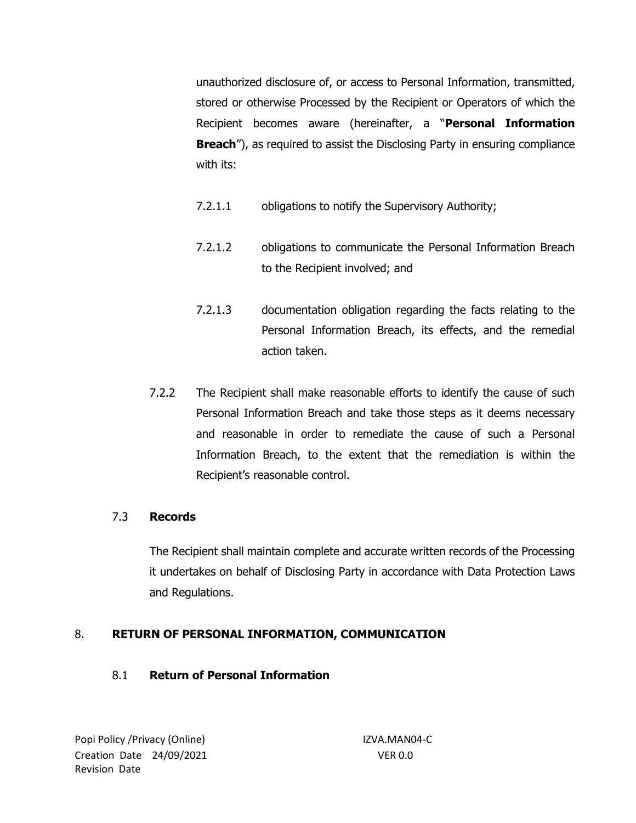unauthorized disclosure of, or access to Personal Information, transmitted, stored or otherwise Processed by the Recipient or Operators of which the Recipient becomes aware (hereinafter, a "**Personal Information Breach**"), as required to assist the Disclosing Party in ensuring compliance with its:

- 7.2.1.1 obligations to notify the Supervisory Authority;
- 7.2.1.2 obligations to communicate the Personal Information Breach to the Recipient involved; and
- 7.2.1.3 documentation obligation regarding the facts relating to the Personal Information Breach, its effects, and the remedial action taken.
- 7.2.2 The Recipient shall make reasonable efforts to identify the cause of such Personal Information Breach and take those steps as it deems necessary and reasonable in order to remediate the cause of such a Personal Information Breach, to the extent that the remediation is within the Recipient's reasonable control.

# 7.3 **Records**

The Recipient shall maintain complete and accurate written records of the Processing it undertakes on behalf of Disclosing Party in accordance with Data Protection Laws and Regulations.

# 8. **RETURN OF PERSONAL INFORMATION, COMMUNICATION**

### 8.1 **Return of Personal Information**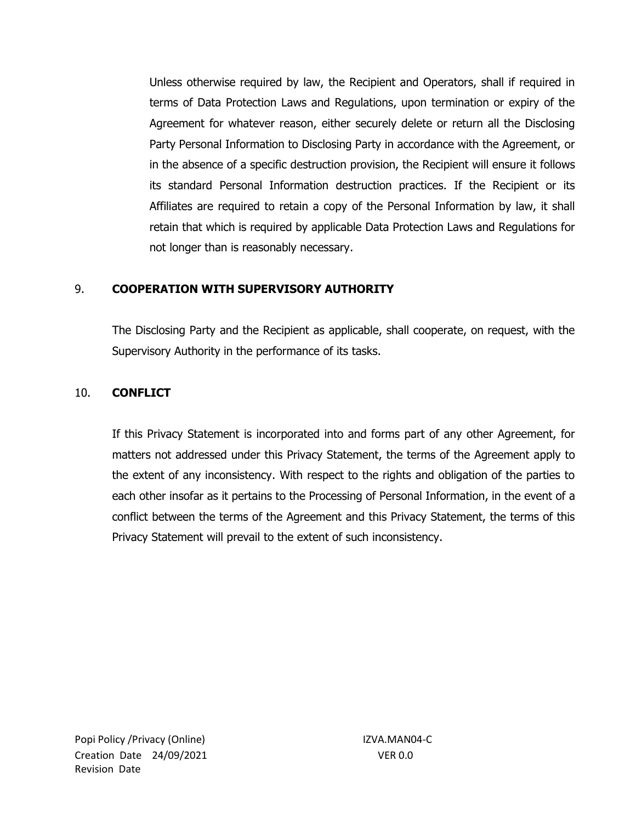Unless otherwise required by law, the Recipient and Operators, shall if required in terms of Data Protection Laws and Regulations, upon termination or expiry of the Agreement for whatever reason, either securely delete or return all the Disclosing Party Personal Information to Disclosing Party in accordance with the Agreement, or in the absence of a specific destruction provision, the Recipient will ensure it follows its standard Personal Information destruction practices. If the Recipient or its Affiliates are required to retain a copy of the Personal Information by law, it shall retain that which is required by applicable Data Protection Laws and Regulations for not longer than is reasonably necessary.

## 9. **COOPERATION WITH SUPERVISORY AUTHORITY**

The Disclosing Party and the Recipient as applicable, shall cooperate, on request, with the Supervisory Authority in the performance of its tasks.

### 10. **CONFLICT**

If this Privacy Statement is incorporated into and forms part of any other Agreement, for matters not addressed under this Privacy Statement, the terms of the Agreement apply to the extent of any inconsistency. With respect to the rights and obligation of the parties to each other insofar as it pertains to the Processing of Personal Information, in the event of a conflict between the terms of the Agreement and this Privacy Statement, the terms of this Privacy Statement will prevail to the extent of such inconsistency.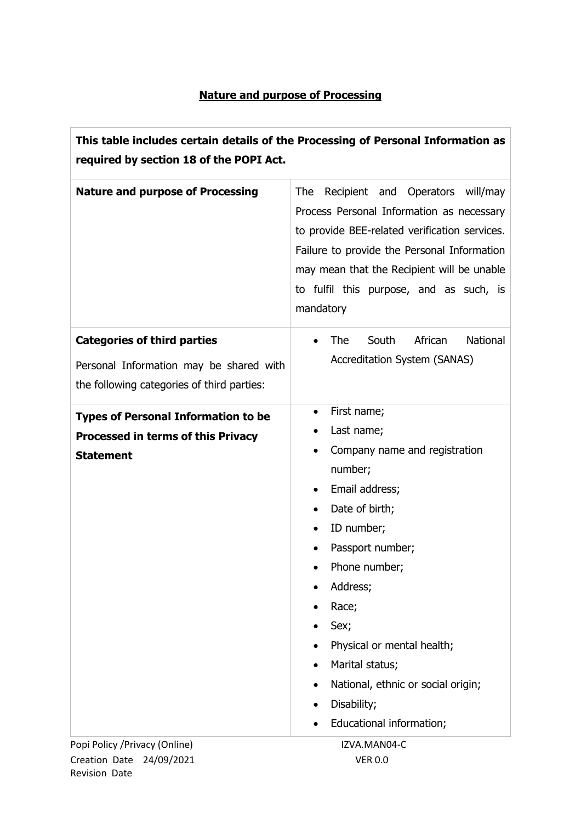# **Nature and purpose of Processing**

| This table includes certain details of the Processing of Personal Information as<br>required by section 18 of the POPI Act. |                                                                                                                                                                                                                                                                                                                             |
|-----------------------------------------------------------------------------------------------------------------------------|-----------------------------------------------------------------------------------------------------------------------------------------------------------------------------------------------------------------------------------------------------------------------------------------------------------------------------|
| <b>Nature and purpose of Processing</b>                                                                                     | <b>The</b><br>Recipient and Operators will/may<br>Process Personal Information as necessary<br>to provide BEE-related verification services.<br>Failure to provide the Personal Information<br>may mean that the Recipient will be unable<br>to fulfil this purpose, and as such, is<br>mandatory                           |
| <b>Categories of third parties</b><br>Personal Information may be shared with<br>the following categories of third parties: | African<br>National<br>South<br><b>The</b><br><b>Accreditation System (SANAS)</b>                                                                                                                                                                                                                                           |
| <b>Types of Personal Information to be</b><br><b>Processed in terms of this Privacy</b><br><b>Statement</b>                 | First name;<br>Last name;<br>Company name and registration<br>number;<br>Email address;<br>Date of birth;<br>ID number;<br>Passport number;<br>Phone number;<br>Address;<br>Race;<br>Sex;<br>Physical or mental health;<br>Marital status;<br>National, ethnic or social origin;<br>Disability;<br>Educational information; |
| Popi Policy / Privacy (Online)                                                                                              | IZVA.MAN04-C                                                                                                                                                                                                                                                                                                                |

Creation Date 24/09/2021 VER 0.0 Revision Date